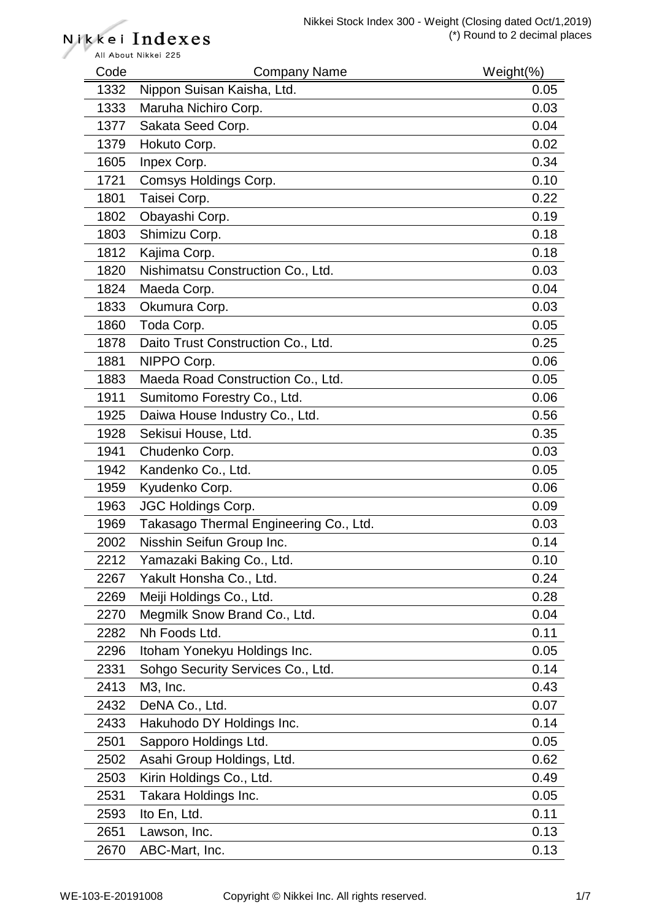All About Nikkei 225 Code Company Name Weight(%) 1332 Nippon Suisan Kaisha, Ltd. 0.05 1333 Maruha Nichiro Corp. 0.03 1377 Sakata Seed Corp. **0.04** 1379 Hokuto Corp. 2002 1379 Hokuto Corp. 1605 Inpex Corp. 0.34 1721 Comsys Holdings Corp. 6.10 1801 Taisei Corp. 22 1802 Obayashi Corp. 0.19 1803 Shimizu Corp. 0.18 1812 Kajima Corp. 0.18 1820 Nishimatsu Construction Co., Ltd. 0.03 1824 Maeda Corp. 2008 2010 1824 Maeda Corp. 1833 Okumura Corp. **0.03** Okumura Corp. 1860 Toda Corp. 0.05 1878 Daito Trust Construction Co., Ltd. 0.25 1881 NIPPO Corp. 2006 1883 Maeda Road Construction Co., Ltd. 0.05 1911 Sumitomo Forestry Co., Ltd. 6.006 and 1911 Sumitomo Forestry Co., Ltd. 1925 Daiwa House Industry Co., Ltd. 1925 0.56 1928 Sekisui House, Ltd. 0.35 1941 Chudenko Corp. 0.03 1942 Kandenko Co., Ltd. 0.05 1959 Kyudenko Corp. 0.06 1963 JGC Holdings Corp. 0.09 1969 Takasago Thermal Engineering Co., Ltd. 0.03 2002 Nisshin Seifun Group Inc. 0.14 2212 Yamazaki Baking Co., Ltd. 0.10 2267 Yakult Honsha Co., Ltd. 0.24 2269 Meiji Holdings Co., Ltd. 0.28 2270 Megmilk Snow Brand Co., Ltd. 6.004 2282 Nh Foods Ltd. 0.11 2296 Itoham Yonekyu Holdings Inc. 0.05 2331 Sohgo Security Services Co., Ltd. 0.14 2413 M3, Inc. 0.43 2432 DeNA Co., Ltd. 0.07 2433 Hakuhodo DY Holdings Inc. **Canadian Contract Contract Contract Contract Contract Contract Contract Contract Contract Contract Contract Contract Contract Contract Contract Contract Contract Contract Contract Contract C** 2501 Sapporo Holdings Ltd. 0.05 2502 Asahi Group Holdings, Ltd. 0.62 2503 Kirin Holdings Co., Ltd. 0.49 2531 Takara Holdings Inc. 0.05 2593 Ito En, Ltd. 0.11 2651 Lawson, Inc. 0.13 2670 ABC-Mart, Inc. 0.13

Nikkei Indexes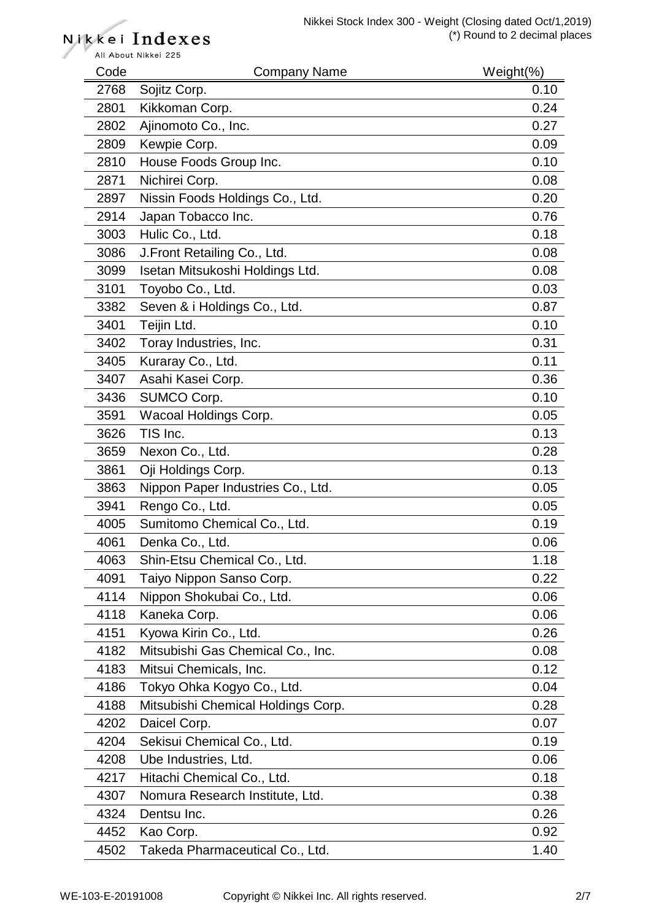| Code | <b>Company Name</b>                | Weight $(\%)$ |
|------|------------------------------------|---------------|
| 2768 | Sojitz Corp.                       | 0.10          |
| 2801 | Kikkoman Corp.                     | 0.24          |
| 2802 | Ajinomoto Co., Inc.                | 0.27          |
| 2809 | Kewpie Corp.                       | 0.09          |
| 2810 | House Foods Group Inc.             | 0.10          |
| 2871 | Nichirei Corp.                     | 0.08          |
| 2897 | Nissin Foods Holdings Co., Ltd.    | 0.20          |
| 2914 | Japan Tobacco Inc.                 | 0.76          |
| 3003 | Hulic Co., Ltd.                    | 0.18          |
| 3086 | J. Front Retailing Co., Ltd.       | 0.08          |
| 3099 | Isetan Mitsukoshi Holdings Ltd.    | 0.08          |
| 3101 | Toyobo Co., Ltd.                   | 0.03          |
| 3382 | Seven & i Holdings Co., Ltd.       | 0.87          |
| 3401 | Teijin Ltd.                        | 0.10          |
| 3402 | Toray Industries, Inc.             | 0.31          |
| 3405 | Kuraray Co., Ltd.                  | 0.11          |
| 3407 | Asahi Kasei Corp.                  | 0.36          |
| 3436 | SUMCO Corp.                        | 0.10          |
| 3591 | Wacoal Holdings Corp.              | 0.05          |
| 3626 | TIS Inc.                           | 0.13          |
| 3659 | Nexon Co., Ltd.                    | 0.28          |
| 3861 | Oji Holdings Corp.                 | 0.13          |
| 3863 | Nippon Paper Industries Co., Ltd.  | 0.05          |
| 3941 | Rengo Co., Ltd.                    | 0.05          |
| 4005 | Sumitomo Chemical Co., Ltd.        | 0.19          |
| 4061 | Denka Co., Ltd.                    | 0.06          |
| 4063 | Shin-Etsu Chemical Co., Ltd.       | 1.18          |
| 4091 | Taiyo Nippon Sanso Corp.           | 0.22          |
| 4114 | Nippon Shokubai Co., Ltd.          | 0.06          |
| 4118 | Kaneka Corp.                       | 0.06          |
| 4151 | Kyowa Kirin Co., Ltd.              | 0.26          |
| 4182 | Mitsubishi Gas Chemical Co., Inc.  | 0.08          |
| 4183 | Mitsui Chemicals, Inc.             | 0.12          |
| 4186 | Tokyo Ohka Kogyo Co., Ltd.         | 0.04          |
| 4188 | Mitsubishi Chemical Holdings Corp. | 0.28          |
| 4202 | Daicel Corp.                       | 0.07          |
| 4204 | Sekisui Chemical Co., Ltd.         | 0.19          |
| 4208 | Ube Industries, Ltd.               | 0.06          |
| 4217 | Hitachi Chemical Co., Ltd.         | 0.18          |
| 4307 | Nomura Research Institute, Ltd.    | 0.38          |
| 4324 | Dentsu Inc.                        | 0.26          |
| 4452 | Kao Corp.                          | 0.92          |
| 4502 | Takeda Pharmaceutical Co., Ltd.    | 1.40          |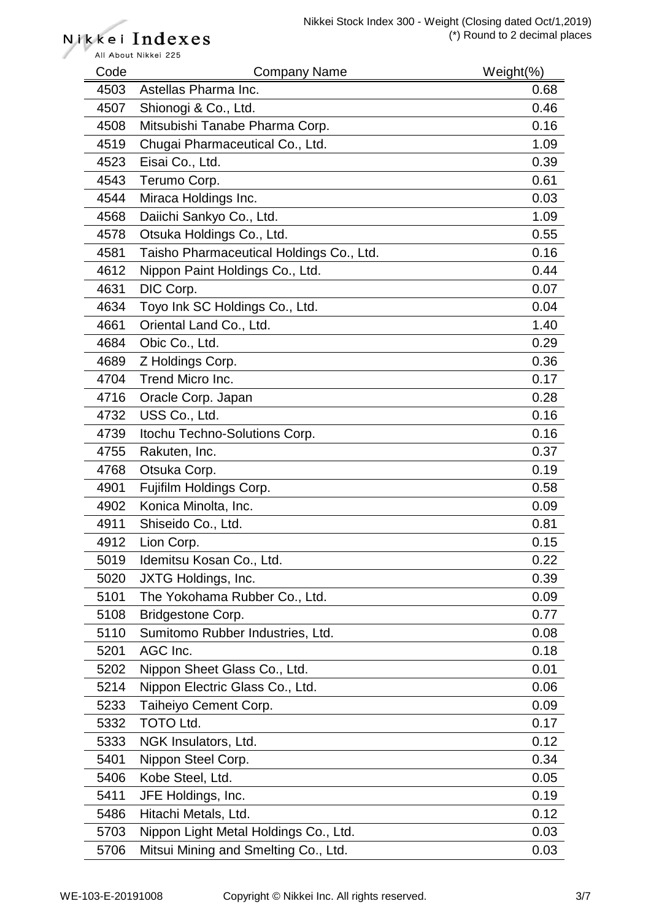| Code | <b>Company Name</b>                      | Weight $(\%)$ |
|------|------------------------------------------|---------------|
| 4503 | Astellas Pharma Inc.                     | 0.68          |
| 4507 | Shionogi & Co., Ltd.                     | 0.46          |
| 4508 | Mitsubishi Tanabe Pharma Corp.           | 0.16          |
| 4519 | Chugai Pharmaceutical Co., Ltd.          | 1.09          |
| 4523 | Eisai Co., Ltd.                          | 0.39          |
| 4543 | Terumo Corp.                             | 0.61          |
| 4544 | Miraca Holdings Inc.                     | 0.03          |
| 4568 | Daiichi Sankyo Co., Ltd.                 | 1.09          |
| 4578 | Otsuka Holdings Co., Ltd.                | 0.55          |
| 4581 | Taisho Pharmaceutical Holdings Co., Ltd. | 0.16          |
| 4612 | Nippon Paint Holdings Co., Ltd.          | 0.44          |
| 4631 | DIC Corp.                                | 0.07          |
| 4634 | Toyo Ink SC Holdings Co., Ltd.           | 0.04          |
| 4661 | Oriental Land Co., Ltd.                  | 1.40          |
| 4684 | Obic Co., Ltd.                           | 0.29          |
| 4689 | Z Holdings Corp.                         | 0.36          |
| 4704 | Trend Micro Inc.                         | 0.17          |
| 4716 | Oracle Corp. Japan                       | 0.28          |
| 4732 | USS Co., Ltd.                            | 0.16          |
| 4739 | Itochu Techno-Solutions Corp.            | 0.16          |
| 4755 | Rakuten, Inc.                            | 0.37          |
| 4768 | Otsuka Corp.                             | 0.19          |
| 4901 | Fujifilm Holdings Corp.                  | 0.58          |
| 4902 | Konica Minolta, Inc.                     | 0.09          |
| 4911 | Shiseido Co., Ltd.                       | 0.81          |
| 4912 | Lion Corp.                               | 0.15          |
| 5019 | Idemitsu Kosan Co., Ltd.                 | 0.22          |
| 5020 | JXTG Holdings, Inc.                      | 0.39          |
| 5101 | The Yokohama Rubber Co., Ltd.            | 0.09          |
| 5108 | Bridgestone Corp.                        | 0.77          |
| 5110 | Sumitomo Rubber Industries, Ltd.         | 0.08          |
| 5201 | AGC Inc.                                 | 0.18          |
| 5202 | Nippon Sheet Glass Co., Ltd.             | 0.01          |
| 5214 | Nippon Electric Glass Co., Ltd.          | 0.06          |
| 5233 | Taiheiyo Cement Corp.                    | 0.09          |
| 5332 | <b>TOTO Ltd.</b>                         | 0.17          |
| 5333 | NGK Insulators, Ltd.                     | 0.12          |
| 5401 | Nippon Steel Corp.                       | 0.34          |
| 5406 | Kobe Steel, Ltd.                         | 0.05          |
| 5411 | JFE Holdings, Inc.                       | 0.19          |
| 5486 | Hitachi Metals, Ltd.                     | 0.12          |
| 5703 | Nippon Light Metal Holdings Co., Ltd.    | 0.03          |
| 5706 | Mitsui Mining and Smelting Co., Ltd.     | 0.03          |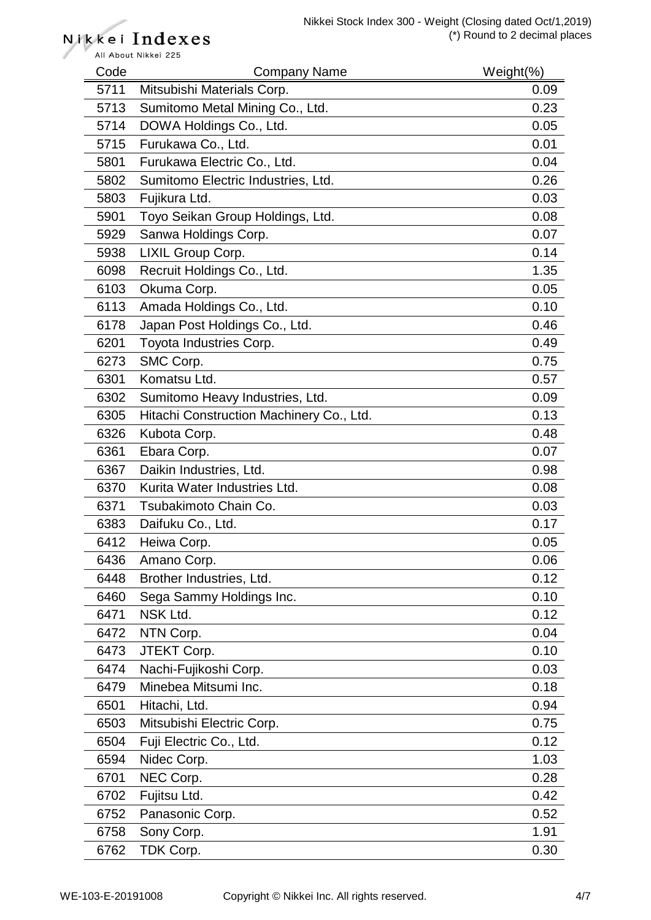| Code | <b>Company Name</b>                      | $Weight(\%)$ |
|------|------------------------------------------|--------------|
| 5711 | Mitsubishi Materials Corp.               | 0.09         |
| 5713 | Sumitomo Metal Mining Co., Ltd.          | 0.23         |
| 5714 | DOWA Holdings Co., Ltd.                  | 0.05         |
| 5715 | Furukawa Co., Ltd.                       | 0.01         |
| 5801 | Furukawa Electric Co., Ltd.              | 0.04         |
| 5802 | Sumitomo Electric Industries, Ltd.       | 0.26         |
| 5803 | Fujikura Ltd.                            | 0.03         |
| 5901 | Toyo Seikan Group Holdings, Ltd.         | 0.08         |
| 5929 | Sanwa Holdings Corp.                     | 0.07         |
| 5938 | LIXIL Group Corp.                        | 0.14         |
| 6098 | Recruit Holdings Co., Ltd.               | 1.35         |
| 6103 | Okuma Corp.                              | 0.05         |
| 6113 | Amada Holdings Co., Ltd.                 | 0.10         |
| 6178 | Japan Post Holdings Co., Ltd.            | 0.46         |
| 6201 | Toyota Industries Corp.                  | 0.49         |
| 6273 | SMC Corp.                                | 0.75         |
| 6301 | Komatsu Ltd.                             | 0.57         |
| 6302 | Sumitomo Heavy Industries, Ltd.          | 0.09         |
| 6305 | Hitachi Construction Machinery Co., Ltd. | 0.13         |
| 6326 | Kubota Corp.                             | 0.48         |
| 6361 | Ebara Corp.                              | 0.07         |
| 6367 | Daikin Industries, Ltd.                  | 0.98         |
| 6370 | Kurita Water Industries Ltd.             | 0.08         |
| 6371 | Tsubakimoto Chain Co.                    | 0.03         |
| 6383 | Daifuku Co., Ltd.                        | 0.17         |
| 6412 | Heiwa Corp.                              | 0.05         |
| 6436 | Amano Corp.                              | 0.06         |
| 6448 | Brother Industries, Ltd.                 | 0.12         |
| 6460 | Sega Sammy Holdings Inc.                 | 0.10         |
| 6471 | NSK Ltd.                                 | 0.12         |
| 6472 | NTN Corp.                                | 0.04         |
| 6473 | JTEKT Corp.                              | 0.10         |
| 6474 | Nachi-Fujikoshi Corp.                    | 0.03         |
| 6479 | Minebea Mitsumi Inc.                     | 0.18         |
| 6501 | Hitachi, Ltd.                            | 0.94         |
| 6503 | Mitsubishi Electric Corp.                | 0.75         |
| 6504 | Fuji Electric Co., Ltd.                  | 0.12         |
| 6594 | Nidec Corp.                              | 1.03         |
| 6701 | NEC Corp.                                | 0.28         |
| 6702 | Fujitsu Ltd.                             | 0.42         |
| 6752 | Panasonic Corp.                          | 0.52         |
| 6758 | Sony Corp.                               | 1.91         |
| 6762 | TDK Corp.                                | 0.30         |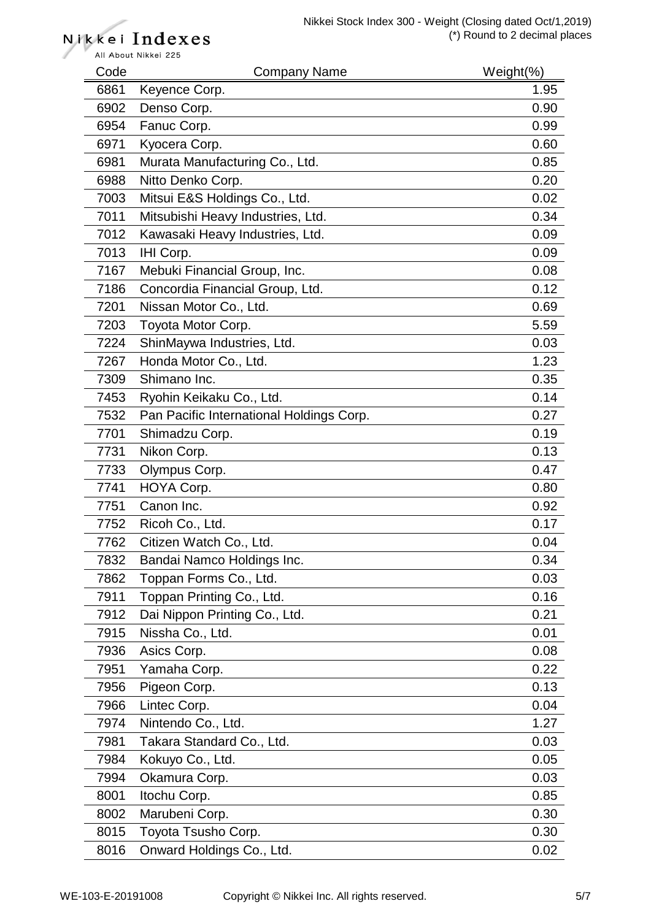# Nikkei Indexes

All About Nikkei 225 Code Company Name Weight(%) 6861 Keyence Corp. 2008 2009 1.95 6902 Denso Corp. 6902 0.90 6954 Fanuc Corp. 2008 2009 12:00:00 0.99 6971 Kyocera Corp. 0.60 6981 Murata Manufacturing Co., Ltd. 0.85 6988 Nitto Denko Corp. 0.20 7003 Mitsui E&S Holdings Co., Ltd. 0.02 7011 Mitsubishi Heavy Industries, Ltd. 0.34 7012 Kawasaki Heavy Industries, Ltd. 0.09 7013 IHI Corp. 0.09 7167 Mebuki Financial Group, Inc. **0.08** 0.08 7186 Concordia Financial Group, Ltd. 0.12 7201 Nissan Motor Co., Ltd. 0.69 7203 Toyota Motor Corp. 6.59 7224 ShinMaywa Industries, Ltd. 0.03 7267 Honda Motor Co., Ltd. 1.23 7309 Shimano Inc. 0.35 7453 Ryohin Keikaku Co., Ltd. 0.14 7532 Pan Pacific International Holdings Corp. 0.27 7701 Shimadzu Corp. 0.19 7731 Nikon Corp. 0.13 7733 Olympus Corp. 2006 2007 2012 2022 203 2047 7741 HOYA Corp. 0.80 7751 Canon Inc. 0.92 7752 Ricoh Co., Ltd. 0.17 7762 Citizen Watch Co., Ltd. 0.04 7832 Bandai Namco Holdings Inc. 0.34 7862 Toppan Forms Co., Ltd. 0.03 7911 Toppan Printing Co., Ltd. 6.16 7912 Dai Nippon Printing Co., Ltd. 0.21 7915 Nissha Co., Ltd. 0.01 7936 Asics Corp. 0.08 7951 Yamaha Corp. 0.22 7956 Pigeon Corp. **0.13** 7966 Lintec Corp. 0.04 7974 Nintendo Co., Ltd. 1.27 7981 Takara Standard Co., Ltd. 0.03 7984 Kokuyo Co., Ltd. 0.05 7994 Okamura Corp. **0.03** 8001 Itochu Corp. 0.85 8002 Marubeni Corp. 0.30 8015 Toyota Tsusho Corp. **0.30** New York 10.30 8016 Onward Holdings Co., Ltd. 6.02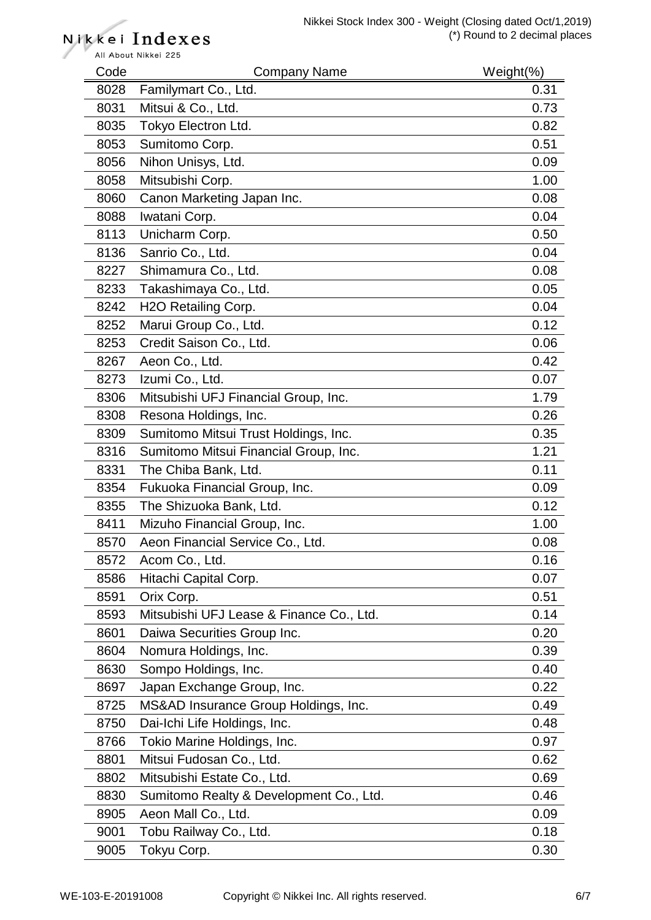All About Nikkei 225 Code Company Name Weight(%) 8028 Familymart Co., Ltd. 6.6 and 7.31 8031 Mitsui & Co., Ltd. 0.73 8035 Tokyo Electron Ltd. 6.82 8053 Sumitomo Corp. 0.51 8056 Nihon Unisys, Ltd. 6.09 8058 Mitsubishi Corp. 2008 1.00 8060 Canon Marketing Japan Inc. **0.08** and 0.08 8088 Iwatani Corp. 6.04 8113 Unicharm Corp. 0.50 8136 Sanrio Co., Ltd. 0.04 8227 Shimamura Co., Ltd. 0.08 8233 Takashimaya Co., Ltd. 0.05 8242 H2O Retailing Corp. **0.04** Corp. 0.04 8252 Marui Group Co., Ltd. 0.12 8253 Credit Saison Co., Ltd. 0.06 8267 Aeon Co., Ltd. 0.42 8273 Izumi Co., Ltd. 0.07 8306 Mitsubishi UFJ Financial Group, Inc. 1.79 8308 Resona Holdings, Inc. 6. 2012 12:30:30 12:30 12:30 12:30 12:30 12:30 12:30 12:30 12:30 12:30 12:30 12:30 8309 Sumitomo Mitsui Trust Holdings, Inc. 6309 Sumitomo Mitsui Trust Holdings, Inc. 8316 Sumitomo Mitsui Financial Group, Inc. 1.21 8331 The Chiba Bank, Ltd. 0.11 No. 12 and 13 and 13 and 14 and 15 and 16 and 16 and 16 and 16 and 16 and 16 and 16 and 16 and 16 and 16 and 16 and 16 and 16 and 16 and 16 and 16 and 16 and 16 and 16 and 16 and 16 and 16 an 8354 Fukuoka Financial Group, Inc. **0.09** 0.09 8355 The Shizuoka Bank, Ltd. 6. 2012 12:00:00 12:00:00 12:00:00 12:00:00 12:00:00 12:00:00 12:00:00 12:00:00 12:00:00 12:00:00 12:00:00 12:00:00 12:00:00 12:00:00 12:00:00 12:00:00 12:00:00 12:00:00 12:00:00 12:00:00 12:00 8411 Mizuho Financial Group, Inc. 1.00 8570 Aeon Financial Service Co., Ltd. 0.08 8572 Acom Co., Ltd. 0.16 8586 Hitachi Capital Corp. 2008 12:30 12:30 12:30 12:30 12:30 12:30 12:30 12:30 12:30 12:30 12:30 12:30 12:30 8591 Orix Corp. 0.51 8593 Mitsubishi UFJ Lease & Finance Co., Ltd. 0.14 8601 Daiwa Securities Group Inc. **0.20** 0.20 8604 Nomura Holdings, Inc. 6. 2012 12:39 8630 Sompo Holdings, Inc. 6.6 and 1.40 8697 Japan Exchange Group, Inc. **1998** Contract 10.22 8725 MS&AD Insurance Group Holdings, Inc. 1988 1999 10:49 8750 Dai-Ichi Life Holdings, Inc. 6. 2012 12:30 0.48 8766 Tokio Marine Holdings, Inc. 6.6 Tokio Marine Holdings, Inc. 8801 Mitsui Fudosan Co., Ltd. 0.62 8802 Mitsubishi Estate Co., Ltd. 0.69 8830 Sumitomo Realty & Development Co., Ltd. 6830 Sumitomo Realty & Development Co., Ltd. 8905 Aeon Mall Co., Ltd. 0.09 9001 Tobu Railway Co., Ltd. 6.18 9005 Tokyu Corp. 2005 2009 12:00:00 0.30

Nikkei Indexes